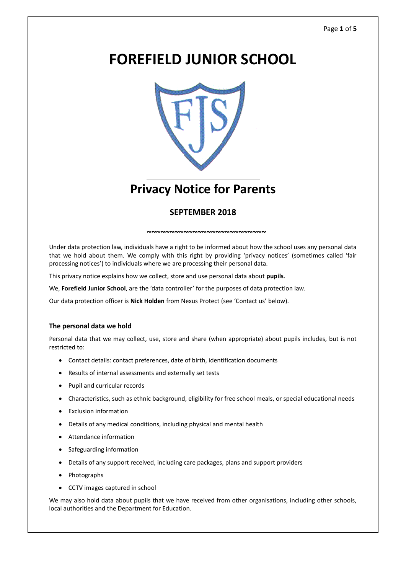# **FOREFIELD JUNIOR SCHOOL**



## **Privacy Notice for Parents**

### **SEPTEMBER 2018**

 *~~~~~~~~~~~~~~~~~~~~~~~~~~*

Under data protection law, individuals have a right to be informed about how the school uses any personal data that we hold about them. We comply with this right by providing 'privacy notices' (sometimes called 'fair processing notices') to individuals where we are processing their personal data.

This privacy notice explains how we collect, store and use personal data about **pupils**.

We, **Forefield Junior School**, are the 'data controller' for the purposes of data protection law.

Our data protection officer is **Nick Holden** from Nexus Protect (see 'Contact us' below).

#### **The personal data we hold**

Personal data that we may collect, use, store and share (when appropriate) about pupils includes, but is not restricted to:

- Contact details: contact preferences, date of birth, identification documents
- Results of internal assessments and externally set tests
- Pupil and curricular records
- Characteristics, such as ethnic background, eligibility for free school meals, or special educational needs
- Exclusion information
- Details of any medical conditions, including physical and mental health
- Attendance information
- Safeguarding information
- Details of any support received, including care packages, plans and support providers
- Photographs
- CCTV images captured in school

We may also hold data about pupils that we have received from other organisations, including other schools, local authorities and the Department for Education.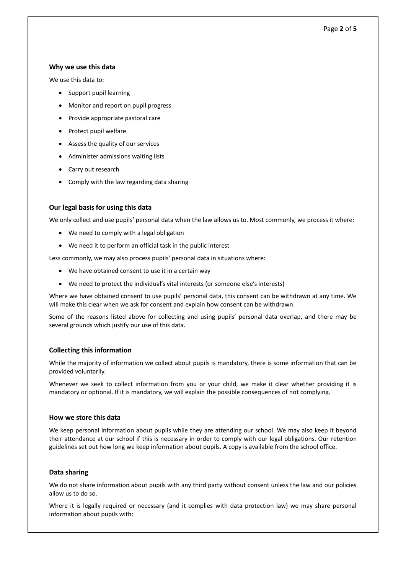#### **Why we use this data**

We use this data to:

- Support pupil learning
- Monitor and report on pupil progress
- Provide appropriate pastoral care
- Protect pupil welfare
- Assess the quality of our services
- Administer admissions waiting lists
- Carry out research
- Comply with the law regarding data sharing

#### **Our legal basis for using this data**

We only collect and use pupils' personal data when the law allows us to. Most commonly, we process it where:

- We need to comply with a legal obligation
- We need it to perform an official task in the public interest

Less commonly, we may also process pupils' personal data in situations where:

- We have obtained consent to use it in a certain way
- We need to protect the individual's vital interests (or someone else's interests)

Where we have obtained consent to use pupils' personal data, this consent can be withdrawn at any time. We will make this clear when we ask for consent and explain how consent can be withdrawn.

Some of the reasons listed above for collecting and using pupils' personal data overlap, and there may be several grounds which justify our use of this data.

#### **Collecting this information**

While the majority of information we collect about pupils is mandatory, there is some information that can be provided voluntarily.

Whenever we seek to collect information from you or your child, we make it clear whether providing it is mandatory or optional. If it is mandatory, we will explain the possible consequences of not complying.

#### **How we store this data**

We keep personal information about pupils while they are attending our school. We may also keep it beyond their attendance at our school if this is necessary in order to comply with our legal obligations. Our retention guidelines set out how long we keep information about pupils. A copy is available from the school office.

#### **Data sharing**

We do not share information about pupils with any third party without consent unless the law and our policies allow us to do so.

Where it is legally required or necessary (and it complies with data protection law) we may share personal information about pupils with: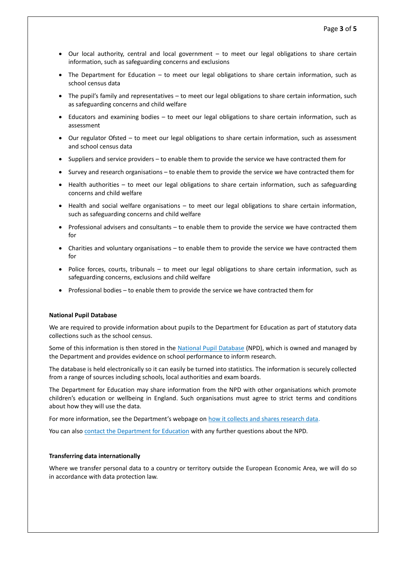- Our local authority, central and local government to meet our legal obligations to share certain information, such as safeguarding concerns and exclusions
- The Department for Education to meet our legal obligations to share certain information, such as school census data
- The pupil's family and representatives to meet our legal obligations to share certain information, such as safeguarding concerns and child welfare
- Educators and examining bodies to meet our legal obligations to share certain information, such as assessment
- Our regulator Ofsted to meet our legal obligations to share certain information, such as assessment and school census data
- Suppliers and service providers to enable them to provide the service we have contracted them for
- Survey and research organisations to enable them to provide the service we have contracted them for
- Health authorities to meet our legal obligations to share certain information, such as safeguarding concerns and child welfare
- Health and social welfare organisations to meet our legal obligations to share certain information, such as safeguarding concerns and child welfare
- Professional advisers and consultants to enable them to provide the service we have contracted them for
- Charities and voluntary organisations to enable them to provide the service we have contracted them for
- Police forces, courts, tribunals to meet our legal obligations to share certain information, such as safeguarding concerns, exclusions and child welfare
- Professional bodies to enable them to provide the service we have contracted them for

#### **National Pupil Database**

We are required to provide information about pupils to the Department for Education as part of statutory data collections such as the school census.

Some of this information is then stored in the [National Pupil](https://www.gov.uk/government/publications/national-pupil-database-user-guide-and-supporting-information) Database (NPD), which is owned and managed by the Department and provides evidence on school performance to inform research.

The database is held electronically so it can easily be turned into statistics. The information is securely collected from a range of sources including schools, local authorities and exam boards.

The Department for Education may share information from the NPD with other organisations which promote children's education or wellbeing in England. Such organisations must agree to strict terms and conditions about how they will use the data.

For more information, see the Department's webpage on [how it collects and shares research data.](https://www.gov.uk/data-protection-how-we-collect-and-share-research-data)

You can also [contact the Department for Education](https://www.gov.uk/contact-dfe) with any further questions about the NPD.

#### **Transferring data internationally**

Where we transfer personal data to a country or territory outside the European Economic Area, we will do so in accordance with data protection law.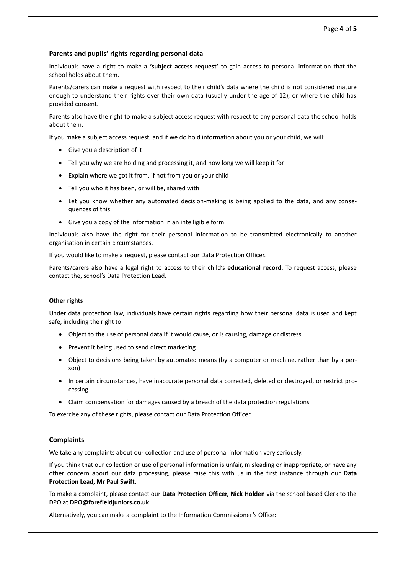#### **Parents and pupils' rights regarding personal data**

Individuals have a right to make a **'subject access request'** to gain access to personal information that the school holds about them.

Parents/carers can make a request with respect to their child's data where the child is not considered mature enough to understand their rights over their own data (usually under the age of 12), or where the child has provided consent.

Parents also have the right to make a subject access request with respect to any personal data the school holds about them.

If you make a subject access request, and if we do hold information about you or your child, we will:

- Give you a description of it
- Tell you why we are holding and processing it, and how long we will keep it for
- Explain where we got it from, if not from you or your child
- Tell you who it has been, or will be, shared with
- Let you know whether any automated decision-making is being applied to the data, and any consequences of this
- Give you a copy of the information in an intelligible form

Individuals also have the right for their personal information to be transmitted electronically to another organisation in certain circumstances.

If you would like to make a request, please contact our Data Protection Officer.

Parents/carers also have a legal right to access to their child's **educational record**. To request access, please contact the, school's Data Protection Lead.

#### **Other rights**

Under data protection law, individuals have certain rights regarding how their personal data is used and kept safe, including the right to:

- Object to the use of personal data if it would cause, or is causing, damage or distress
- Prevent it being used to send direct marketing
- Object to decisions being taken by automated means (by a computer or machine, rather than by a person)
- In certain circumstances, have inaccurate personal data corrected, deleted or destroyed, or restrict processing
- Claim compensation for damages caused by a breach of the data protection regulations

To exercise any of these rights, please contact our Data Protection Officer.

#### **Complaints**

We take any complaints about our collection and use of personal information very seriously.

If you think that our collection or use of personal information is unfair, misleading or inappropriate, or have any other concern about our data processing, please raise this with us in the first instance through our **Data Protection Lead, Mr Paul Swift.**

To make a complaint, please contact our **Data Protection Officer, Nick Holden** via the school based Clerk to the DPO at **DPO@forefieldjuniors.co.uk**

Alternatively, you can make a complaint to the Information Commissioner's Office: